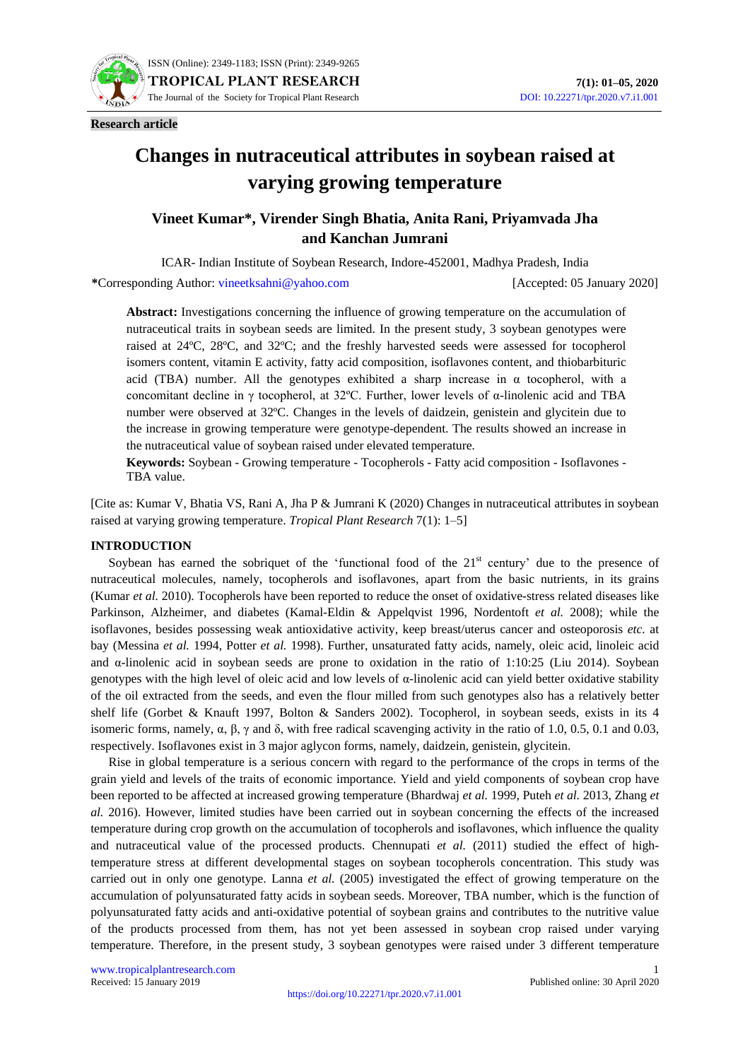

**Research article**

# **Changes in nutraceutical attributes in soybean raised at varying growing temperature**

# **Vineet Kumar\*, Virender Singh Bhatia, Anita Rani, Priyamvada Jha and Kanchan Jumrani**

ICAR- Indian Institute of Soybean Research, Indore-452001, Madhya Pradesh, India

**\***Corresponding Author: [vineetksahni@yahoo.com](mailto:vineetksahni@yahoo.com) [Accepted: 05 January 2020]

**Abstract:** Investigations concerning the influence of growing temperature on the accumulation of nutraceutical traits in soybean seeds are limited. In the present study, 3 soybean genotypes were raised at 24ºC, 28ºC, and 32ºC; and the freshly harvested seeds were assessed for tocopherol isomers content, vitamin E activity, fatty acid composition, isoflavones content, and thiobarbituric acid (TBA) number. All the genotypes exhibited a sharp increase in  $\alpha$  tocopherol, with a concomitant decline in γ tocopherol, at 32ºC. Further, lower levels of α-linolenic acid and TBA number were observed at 32ºC. Changes in the levels of daidzein, genistein and glycitein due to the increase in growing temperature were genotype-dependent. The results showed an increase in the nutraceutical value of soybean raised under elevated temperature*.*

**Keywords:** Soybean - Growing temperature - Tocopherols - Fatty acid composition - Isoflavones - TBA value.

[Cite as: Kumar V, Bhatia VS, Rani A, Jha P & Jumrani K (2020) Changes in nutraceutical attributes in soybean raised at varying growing temperature. *Tropical Plant Research* 7(1): 1–5]

# **INTRODUCTION**

Soybean has earned the sobriquet of the 'functional food of the  $21<sup>st</sup>$  century' due to the presence of nutraceutical molecules, namely, tocopherols and isoflavones, apart from the basic nutrients, in its grains (Kumar *et al.* 2010). Tocopherols have been reported to reduce the onset of oxidative-stress related diseases like Parkinson, Alzheimer, and diabetes (Kamal-Eldin & Appelqvist 1996, Nordentoft *et al.* 2008); while the isoflavones, besides possessing weak antioxidative activity, keep breast/uterus cancer and osteoporosis *etc.* at bay (Messina *et al.* 1994, Potter *et al.* 1998). Further, unsaturated fatty acids, namely, oleic acid, linoleic acid and α-linolenic acid in soybean seeds are prone to oxidation in the ratio of 1:10:25 (Liu 2014). Soybean genotypes with the high level of oleic acid and low levels of α-linolenic acid can yield better oxidative stability of the oil extracted from the seeds, and even the flour milled from such genotypes also has a relatively better shelf life (Gorbet & Knauft 1997, Bolton & Sanders 2002). Tocopherol, in soybean seeds, exists in its 4 isomeric forms, namely,  $\alpha$ ,  $\beta$ ,  $\gamma$  and δ, with free radical scavenging activity in the ratio of 1.0, 0.5, 0.1 and 0.03, respectively. Isoflavones exist in 3 major aglycon forms, namely, daidzein, genistein, glycitein.

Rise in global temperature is a serious concern with regard to the performance of the crops in terms of the grain yield and levels of the traits of economic importance. Yield and yield components of soybean crop have been reported to be affected at increased growing temperature (Bhardwaj *et al.* 1999, Puteh *et al.* 2013, Zhang *et al.* 2016). However, limited studies have been carried out in soybean concerning the effects of the increased temperature during crop growth on the accumulation of tocopherols and isoflavones, which influence the quality and nutraceutical value of the processed products. Chennupati *et al.* (2011) studied the effect of hightemperature stress at different developmental stages on soybean tocopherols concentration. This study was carried out in only one genotype. Lanna *et al.* (2005) investigated the effect of growing temperature on the accumulation of polyunsaturated fatty acids in soybean seeds. Moreover, TBA number, which is the function of polyunsaturated fatty acids and anti-oxidative potential of soybean grains and contributes to the nutritive value of the products processed from them, has not yet been assessed in soybean crop raised under varying temperature. Therefore, in the present study, 3 soybean genotypes were raised under 3 different temperature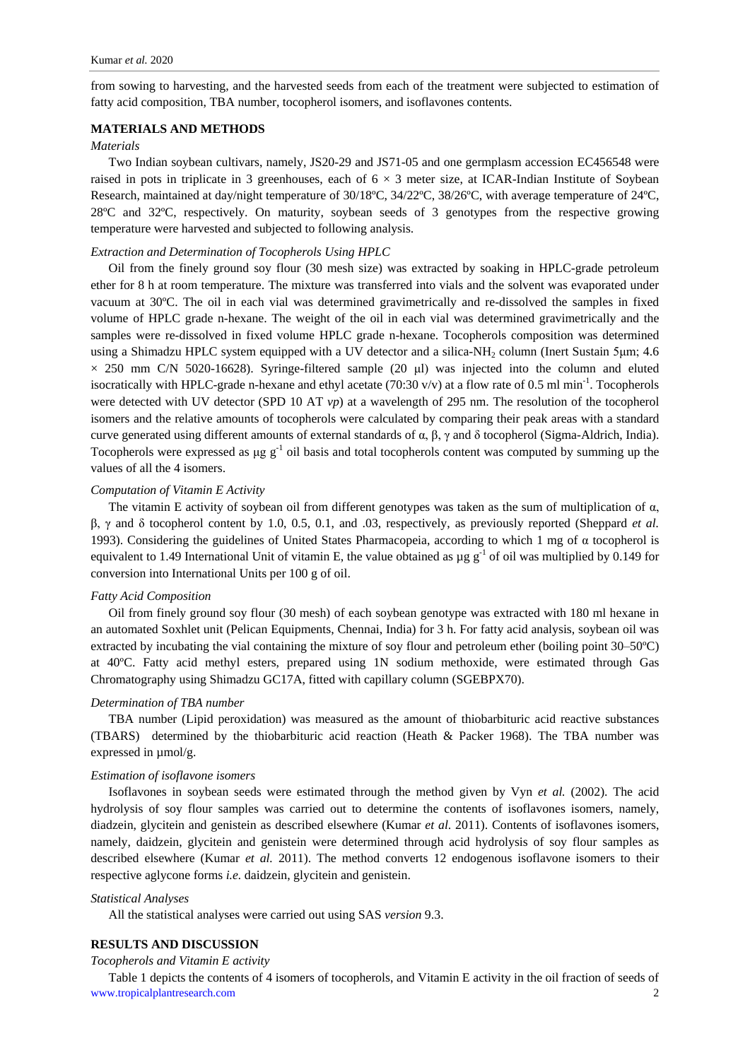from sowing to harvesting, and the harvested seeds from each of the treatment were subjected to estimation of fatty acid composition, TBA number, tocopherol isomers, and isoflavones contents.

# **MATERIALS AND METHODS**

# *Materials*

Two Indian soybean cultivars, namely, JS20-29 and JS71-05 and one germplasm accession EC456548 were raised in pots in triplicate in 3 greenhouses, each of  $6 \times 3$  meter size, at ICAR-Indian Institute of Soybean Research, maintained at day/night temperature of 30/18ºC, 34/22ºC, 38/26ºC, with average temperature of 24ºC, 28ºC and 32ºC, respectively. On maturity, soybean seeds of 3 genotypes from the respective growing temperature were harvested and subjected to following analysis.

# *Extraction and Determination of Tocopherols Using HPLC*

Oil from the finely ground soy flour (30 mesh size) was extracted by soaking in HPLC-grade petroleum ether for 8 h at room temperature. The mixture was transferred into vials and the solvent was evaporated under vacuum at 30ºC. The oil in each vial was determined gravimetrically and re-dissolved the samples in fixed volume of HPLC grade n-hexane. The weight of the oil in each vial was determined gravimetrically and the samples were re-dissolved in fixed volume HPLC grade n-hexane. Tocopherols composition was determined using a Shimadzu HPLC system equipped with a UV detector and a silica-NH<sub>2</sub> column (Inert Sustain 5µm; 4.6  $\times$  250 mm C/N 5020-16628). Syringe-filtered sample (20 µl) was injected into the column and eluted isocratically with HPLC-grade n-hexane and ethyl acetate  $(70:30 \text{ v/v})$  at a flow rate of 0.5 ml min<sup>-1</sup>. Tocopherols were detected with UV detector (SPD 10 AT *vp*) at a wavelength of 295 nm. The resolution of the tocopherol isomers and the relative amounts of tocopherols were calculated by comparing their peak areas with a standard curve generated using different amounts of external standards of α, β, γ and δ tocopherol (Sigma-Aldrich, India). Tocopherols were expressed as  $\mu$ g g<sup>-1</sup> oil basis and total tocopherols content was computed by summing up the values of all the 4 isomers.

# *Computation of Vitamin E Activity*

The vitamin E activity of soybean oil from different genotypes was taken as the sum of multiplication of  $\alpha$ , β, γ and δ tocopherol content by 1.0, 0.5, 0.1, and .03, respectively, as previously reported (Sheppard *et al.* 1993). Considering the guidelines of United States Pharmacopeia, according to which 1 mg of α tocopherol is equivalent to 1.49 International Unit of vitamin E, the value obtained as  $\mu$ g g<sup>-1</sup> of oil was multiplied by 0.149 for conversion into International Units per 100 g of oil.

#### *Fatty Acid Composition*

Oil from finely ground soy flour (30 mesh) of each soybean genotype was extracted with 180 ml hexane in an automated Soxhlet unit (Pelican Equipments, Chennai, India) for 3 h. For fatty acid analysis, soybean oil was extracted by incubating the vial containing the mixture of soy flour and petroleum ether (boiling point 30–50ºC) at 40ºC. Fatty acid methyl esters, prepared using 1N sodium methoxide, were estimated through Gas Chromatography using Shimadzu GC17A, fitted with capillary column (SGEBPX70).

## *Determination of TBA number*

TBA number (Lipid peroxidation) was measured as the amount of thiobarbituric acid reactive substances (TBARS) determined by the thiobarbituric acid reaction (Heath & Packer 1968). The TBA number was expressed in µmol/g.

# *Estimation of isoflavone isomers*

Isoflavones in soybean seeds were estimated through the method given by Vyn *et al.* (2002). The acid hydrolysis of soy flour samples was carried out to determine the contents of isoflavones isomers, namely, diadzein, glycitein and genistein as described elsewhere (Kumar *et al*. 2011). Contents of isoflavones isomers, namely, daidzein, glycitein and genistein were determined through acid hydrolysis of soy flour samples as described elsewhere (Kumar *et al.* 2011). The method converts 12 endogenous isoflavone isomers to their respective aglycone forms *i.e.* daidzein, glycitein and genistein.

#### *Statistical Analyses*

All the statistical analyses were carried out using SAS *version* 9.3.

# **RESULTS AND DISCUSSION**

#### *Tocopherols and Vitamin E activity*

www.tropicalplantresearch.com 2 Table 1 depicts the contents of 4 isomers of tocopherols, and Vitamin E activity in the oil fraction of seeds of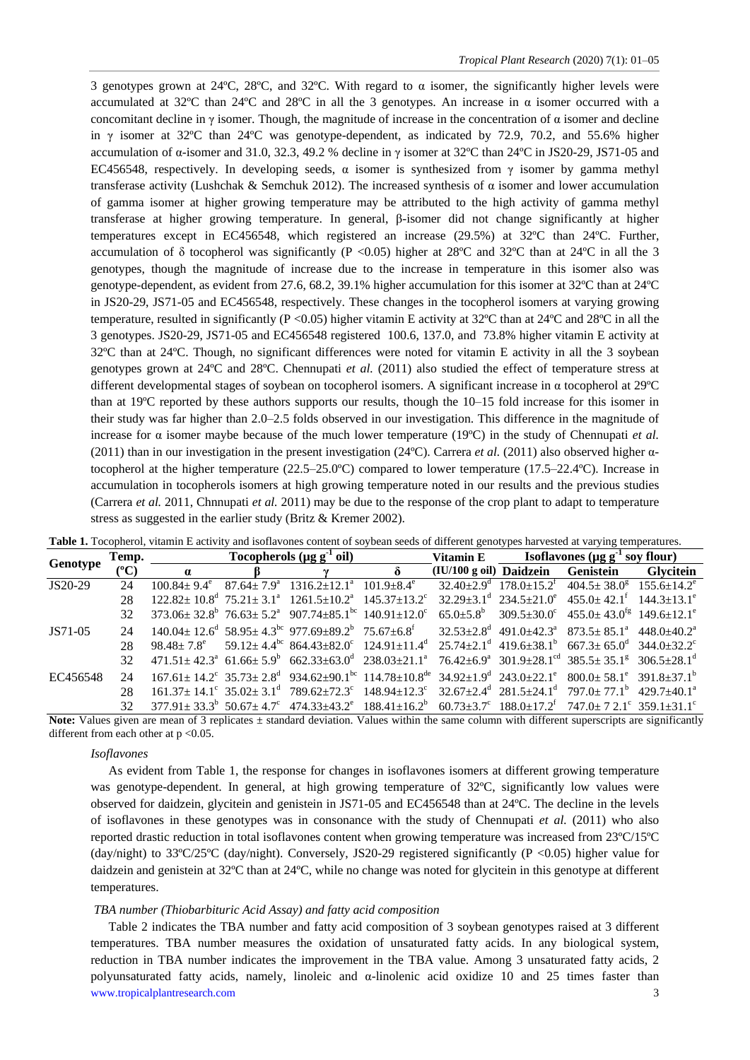3 genotypes grown at 24°C, 28°C, and 32°C. With regard to  $\alpha$  isomer, the significantly higher levels were accumulated at 32°C than 24°C and 28°C in all the 3 genotypes. An increase in  $\alpha$  isomer occurred with a concomitant decline in  $\gamma$  isomer. Though, the magnitude of increase in the concentration of  $\alpha$  isomer and decline in  $\gamma$  isomer at 32°C than 24°C was genotype-dependent, as indicated by 72.9, 70.2, and 55.6% higher accumulation of α-isomer and 31.0, 32.3, 49.2 % decline in γ isomer at 32ºC than 24ºC in JS20-29, JS71-05 and EC456548, respectively. In developing seeds,  $\alpha$  isomer is synthesized from  $\gamma$  isomer by gamma methyl transferase activity (Lushchak & Semchuk 2012). The increased synthesis of α isomer and lower accumulation of gamma isomer at higher growing temperature may be attributed to the high activity of gamma methyl transferase at higher growing temperature. In general, β-isomer did not change significantly at higher temperatures except in EC456548, which registered an increase (29.5%) at 32ºC than 24ºC. Further, accumulation of  $\delta$  tocopherol was significantly (P <0.05) higher at 28°C and 32°C than at 24°C in all the 3 genotypes, though the magnitude of increase due to the increase in temperature in this isomer also was genotype-dependent, as evident from 27.6, 68.2, 39.1% higher accumulation for this isomer at 32ºC than at 24ºC in JS20-29, JS71-05 and EC456548, respectively. These changes in the tocopherol isomers at varying growing temperature, resulted in significantly (P <0.05) higher vitamin E activity at 32ºC than at 24ºC and 28ºC in all the 3 genotypes. JS20-29, JS71-05 and EC456548 registered 100.6, 137.0, and 73.8% higher vitamin E activity at 32ºC than at 24ºC. Though, no significant differences were noted for vitamin E activity in all the 3 soybean genotypes grown at 24ºC and 28ºC. Chennupati *et al.* (2011) also studied the effect of temperature stress at different developmental stages of soybean on tocopherol isomers. A significant increase in α tocopherol at 29ºC than at 19ºC reported by these authors supports our results, though the 10–15 fold increase for this isomer in their study was far higher than 2.0–2.5 folds observed in our investigation. This difference in the magnitude of increase for  $\alpha$  isomer maybe because of the much lower temperature (19 $\degree$ C) in the study of Chennupati *et al.* (2011) than in our investigation in the present investigation (24ºC). Carrera *et al.* (2011) also observed higher αtocopherol at the higher temperature (22.5–25.0ºC) compared to lower temperature (17.5–22.4ºC). Increase in accumulation in tocopherols isomers at high growing temperature noted in our results and the previous studies (Carrera *et al.* 2011, Chnnupati *et al.* 2011) may be due to the response of the crop plant to adapt to temperature stress as suggested in the earlier study (Britz & Kremer 2002).

|              | Temp.           | Tocopherols ( $\mu$ g g <sup>-1</sup> oil) |  |                                                                                                                                                                                                                                             |          |                                   | Vitamin E Isoflavones ( $\mu$ g g <sup>-1</sup> soy flour) |                                                                                                    |           |
|--------------|-----------------|--------------------------------------------|--|---------------------------------------------------------------------------------------------------------------------------------------------------------------------------------------------------------------------------------------------|----------|-----------------------------------|------------------------------------------------------------|----------------------------------------------------------------------------------------------------|-----------|
| Genotype     | $(^{\circ}C)$   | $\alpha$                                   |  |                                                                                                                                                                                                                                             | $\delta$ | (IU/100 g oil) Daidzein Genistein |                                                            |                                                                                                    | Glvcitein |
| JS20-29      | 24              | $100.84 \pm 9.4^e$                         |  | $87.64 \pm 7.9^{\circ}$ 1316.2 $\pm$ 12.1 <sup>a</sup> 101.9 $\pm$ 8.4 <sup>e</sup>                                                                                                                                                         |          |                                   |                                                            | $32.40 \pm 2.9^{\circ}$ $178.0 \pm 15.2^{\circ}$ $404.5 \pm 38.0^{\circ}$ $155.6 \pm 14.2^{\circ}$ |           |
|              | 28              |                                            |  | $122.82 \pm 10.8^{\circ}$ $75.21 \pm 3.1^{\circ}$ $1261.5 \pm 10.2^{\circ}$ $145.37 \pm 13.2^{\circ}$                                                                                                                                       |          |                                   |                                                            | $32.29 \pm 3.1^{\circ}$ $234.5 \pm 21.0^{\circ}$ $455.0 \pm 42.1^{\circ}$ $144.3 \pm 13.1^{\circ}$ |           |
|              | 32 <sub>1</sub> |                                            |  | $373.06 \pm 32.8^{\circ}$ $76.63 \pm 5.2^{\circ}$ $907.74 \pm 85.1^{\circ}$ $140.91 \pm 12.0^{\circ}$                                                                                                                                       |          |                                   |                                                            | $65.0\pm5.8^{\circ}$ $309.5\pm30.0^{\circ}$ $455.0\pm43.0^{\circ}$ $149.6\pm12.1^{\circ}$          |           |
| JS71-05      | 24              |                                            |  | $140.04 \pm 12.6^d$ 58.95 $\pm$ 4.3 <sup>bc</sup> 977.69 $\pm$ 89.2 <sup>b</sup> 75.67 $\pm$ 6.8 <sup>f</sup> 32.53 $\pm$ 2.8 <sup>d</sup> 491.0 $\pm$ 42.3 <sup>a</sup> 873.5 $\pm$ 85.1 <sup>a</sup> 448.0 $\pm$ 40.2 <sup>a</sup>        |          |                                   |                                                            |                                                                                                    |           |
|              | 28              |                                            |  | $98.48 \pm 7.8^{\circ}$ $59.12 \pm 4.4^{\circ}$ $864.43 \pm 82.0^{\circ}$ $124.91 \pm 11.4^{\circ}$ $25.74 \pm 2.1^{\circ}$ $419.6 \pm 38.1^{\circ}$ $667.3 \pm 65.0^{\circ}$ $344.0 \pm 32.2^{\circ}$                                      |          |                                   |                                                            |                                                                                                    |           |
|              | 32 <sup>7</sup> |                                            |  | $471.51 \pm 42.3^a$ $61.66 \pm 5.9^b$ $662.33 \pm 63.0^d$ $238.03 \pm 21.1^a$ $76.42 \pm 6.9^a$ $301.9 \pm 28.1^{\text{cd}}$ $385.5 \pm 35.1^g$ $306.5 \pm 28.1^d$                                                                          |          |                                   |                                                            |                                                                                                    |           |
| EC456548     |                 |                                            |  | $167.61 \pm 14.2^{\circ}$ $35.73 \pm 2.8^{\circ}$ $934.62 \pm 90.1^{\circ}$ $114.78 \pm 10.8^{\circ}$ $34.92 \pm 1.9^{\circ}$ $243.0 \pm 22.1^{\circ}$ $800.0 \pm 58.1^{\circ}$ $391.8 \pm 37.1^{\circ}$                                    |          |                                   |                                                            |                                                                                                    |           |
|              | 28              |                                            |  | $161.37 \pm 14.1^{\circ}$ 35.02 $\pm$ 3.1 <sup>d</sup> 789.62 $\pm$ 72.3 <sup>c</sup> 148.94 $\pm$ 12.3 <sup>c</sup> 32.67 $\pm$ 2.4 <sup>d</sup> 281.5 $\pm$ 24.1 <sup>d</sup> 797.0 $\pm$ 77.1 <sup>b</sup> 429.7 $\pm$ 40.1 <sup>a</sup> |          |                                   |                                                            |                                                                                                    |           |
|              | 32.             |                                            |  | $377.91 \pm 33.3^b$ $50.67 \pm 4.7^c$ $474.33 \pm 43.2^c$ $188.41 \pm 16.2^b$ $60.73 \pm 3.7^c$ $188.0 \pm 17.2^c$ $747.0 \pm 7.2.1^c$ $359.1 \pm 31.1^c$                                                                                   |          |                                   |                                                            |                                                                                                    |           |
| $\mathbf{v}$ |                 |                                            |  | $\alpha$ , and the state of the state of the state of the state of the state of the state of the state of the state of the state of the state of the state of the state of the state of the state of the state of the state of th           |          |                                   |                                                            |                                                                                                    |           |

**Table 1.** Tocopherol, vitamin E activity and isoflavones content of soybean seeds of different genotypes harvested at varying temperatures.

**Note:** Values given are mean of 3 replicates  $\pm$  standard deviation. Values within the same column with different superscripts are significantly different from each other at  $p < 0.05$ .

#### *Isoflavones*

As evident from Table 1, the response for changes in isoflavones isomers at different growing temperature was genotype-dependent. In general, at high growing temperature of 32ºC, significantly low values were observed for daidzein, glycitein and genistein in JS71-05 and EC456548 than at 24ºC. The decline in the levels of isoflavones in these genotypes was in consonance with the study of Chennupati *et al.* (2011) who also reported drastic reduction in total isoflavones content when growing temperature was increased from 23ºC/15ºC (day/night) to 33ºC/25ºC (day/night). Conversely, JS20-29 registered significantly (P <0.05) higher value for daidzein and genistein at 32ºC than at 24ºC, while no change was noted for glycitein in this genotype at different temperatures.

#### *TBA number (Thiobarbituric Acid Assay) and fatty acid composition*

www.tropicalplantresearch.com 3 Table 2 indicates the TBA number and fatty acid composition of 3 soybean genotypes raised at 3 different temperatures. TBA number measures the oxidation of unsaturated fatty acids. In any biological system, reduction in TBA number indicates the improvement in the TBA value. Among 3 unsaturated fatty acids, 2 polyunsaturated fatty acids, namely, linoleic and α-linolenic acid oxidize 10 and 25 times faster than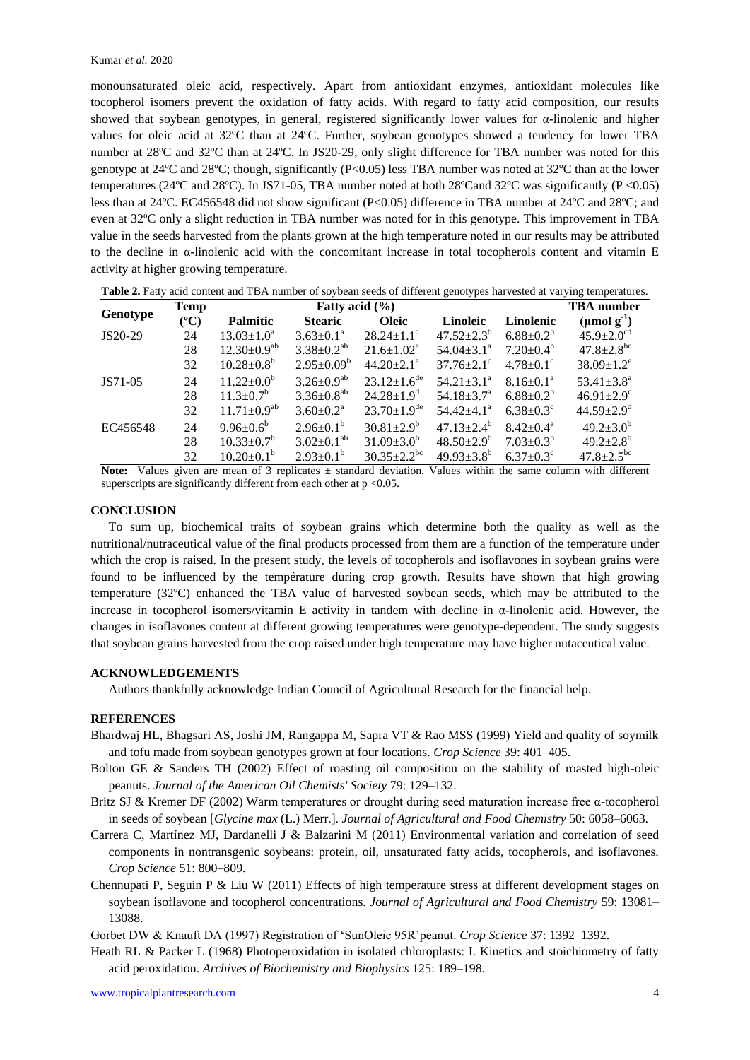monounsaturated oleic acid, respectively. Apart from antioxidant enzymes, antioxidant molecules like tocopherol isomers prevent the oxidation of fatty acids. With regard to fatty acid composition, our results showed that soybean genotypes, in general, registered significantly lower values for α-linolenic and higher values for oleic acid at 32ºC than at 24ºC. Further, soybean genotypes showed a tendency for lower TBA number at 28ºC and 32ºC than at 24ºC. In JS20-29, only slight difference for TBA number was noted for this genotype at 24ºC and 28ºC; though, significantly (P<0.05) less TBA number was noted at 32ºC than at the lower temperatures (24°C and 28°C). In JS71-05, TBA number noted at both 28°C and 32°C was significantly (P <0.05) less than at 24ºC. EC456548 did not show significant (P<0.05) difference in TBA number at 24ºC and 28ºC; and even at 32ºC only a slight reduction in TBA number was noted for in this genotype. This improvement in TBA value in the seeds harvested from the plants grown at the high temperature noted in our results may be attributed to the decline in  $\alpha$ -linolenic acid with the concomitant increase in total tocopherols content and vitamin E activity at higher growing temperature.

|          | <b>Temp</b> |                         | <b>TBA</b> number            |                               |                              |                             |                              |
|----------|-------------|-------------------------|------------------------------|-------------------------------|------------------------------|-----------------------------|------------------------------|
| Genotype | $({}^oC)$   | <b>Palmitic</b>         | <b>Stearic</b>               | <b>Oleic</b>                  | Linoleic                     | Linolenic                   | $(\mu \text{mol g}^{-1})$    |
| JS20-29  | 24          | $13.03 \pm 1.0^a$       | $3.63 \pm 0.1^a$             | $28.24 \pm 1.1$ <sup>c</sup>  | $47.52 + 2.3^{b}$            | $6.88 \pm 0.2^{b}$          | $45.9 \pm 2.0$ <sup>cd</sup> |
|          | 28          | $12.30\pm0.9^{ab}$      | $3.38 \pm 0.2^{ab}$          | $21.6 \pm 1.02^e$             | $54.04 \pm 3.1^{\text{a}}$   | $7.20 \pm 0.4^b$            | $47.8 \pm 2.8^{\rm bc}$      |
|          | 32          | $10.28 \pm 0.8^b$       | $2.95 \pm 0.09^b$            | $44.20 \pm 2.1^a$             | $37.76 \pm 2.1$ <sup>c</sup> | $4.78 \pm 0.1$ <sup>c</sup> | $38.09 \pm 1.2^e$            |
| JS71-05  | 24          | $11.22 \pm 0.0^b$       | $3.26 \pm 0.9^{ab}$          | $23.12 \pm 1.6^{\text{de}}$   | $54.21 \pm 3.1^a$            | $8.16 \pm 0.1^{\text{a}}$   | 53.41 $\pm$ 3.8 <sup>a</sup> |
|          | 28          | $11.3 \pm 0.7^b$        | $3.36 \pm 0.8$ <sup>ab</sup> | $24.28 \pm 1.9^d$             | 54.18 $\pm$ 3.7 <sup>a</sup> | $6.88 \pm 0.2^b$            | $46.91 \pm 2.9$ <sup>c</sup> |
|          | 32          | $11.71 \pm 0.9^{ab}$    | $3.60 \pm 0.2^a$             | $23.70 \pm 1.9$ <sup>de</sup> | $54.42 \pm 4.1^a$            | $6.38 \pm 0.3^{\circ}$      | $44.59 \pm 2.9$ <sup>d</sup> |
| EC456548 | 24          | $9.96 \pm 0.6^b$        | $2.96 \pm 0.1^b$             | $30.81 \pm 2.9^b$             | $47.13 \pm 2.4^{\circ}$      | $8.42 \pm 0.4^{\text{a}}$   | $49.2 \pm 3.0^b$             |
|          | 28          | $10.33 \pm 0.7^b$       | $3.02 \pm 0.1^{ab}$          | $31.09 \pm 3.0^b$             | $48.50 \pm 2.9^b$            | $7.03 \pm 0.3^b$            | $49.2 \pm 2.8^{\rm b}$       |
|          | 32          | $10.20 \pm 0.1^{\circ}$ | $2.93 \pm 0.1^b$             | $30.35 \pm 2.2^{bc}$          | $49.93 \pm 3.8^b$            | $6.37 \pm 0.3$ <sup>c</sup> | $47.8 \pm 2.5$ <sup>bc</sup> |

**Table 2.** Fatty acid content and TBA number of soybean seeds of different genotypes harvested at varying temperatures.

Note: Values given are mean of 3 replicates  $\pm$  standard deviation. Values within the same column with different superscripts are significantly different from each other at  $p < 0.05$ .

## **CONCLUSION**

To sum up, biochemical traits of soybean grains which determine both the quality as well as the nutritional/nutraceutical value of the final products processed from them are a function of the temperature under which the crop is raised. In the present study, the levels of tocopherols and isoflavones in soybean grains were found to be influenced by the température during crop growth. Results have shown that high growing temperature (32ºC) enhanced the TBA value of harvested soybean seeds, which may be attributed to the increase in tocopherol isomers/vitamin E activity in tandem with decline in  $\alpha$ -linolenic acid. However, the changes in isoflavones content at different growing temperatures were genotype-dependent. The study suggests that soybean grains harvested from the crop raised under high temperature may have higher nutaceutical value.

# **ACKNOWLEDGEMENTS**

Authors thankfully acknowledge Indian Council of Agricultural Research for the financial help.

# **REFERENCES**

- Bhardwaj HL, Bhagsari AS, Joshi JM, Rangappa M, Sapra VT & Rao MSS (1999) Yield and quality of soymilk and tofu made from soybean genotypes grown at four locations. *Crop Science* 39: 401–405.
- Bolton GE & Sanders TH (2002) Effect of roasting oil composition on the stability of roasted high-oleic peanuts. *Journal of the American Oil Chemists' Society* 79: 129–132.
- Britz SJ & Kremer DF (2002) Warm temperatures or drought during seed maturation increase free α-tocopherol in seeds of soybean [*Glycine max* (L.) Merr.]. *Journal of Agricultural and Food Chemistry* 50: 6058–6063.
- Carrera C, Martínez MJ, Dardanelli J & Balzarini M (2011) Environmental variation and correlation of seed components in nontransgenic soybeans: protein, oil, unsaturated fatty acids, tocopherols, and isoflavones. *Crop Science* 51: 800–809.
- Chennupati P, Seguin P & Liu W (2011) Effects of high temperature stress at different development stages on soybean isoflavone and tocopherol concentrations. *Journal of Agricultural and Food Chemistry* 59: 13081– 13088.

Gorbet DW & Knauft DA (1997) Registration of 'SunOleic 95R'peanut. *Crop Science* 37: 1392–1392.

Heath RL & Packer L (1968) Photoperoxidation in isolated chloroplasts: I. Kinetics and stoichiometry of fatty acid peroxidation. *Archives of Biochemistry and Biophysics* 125: 189–198.